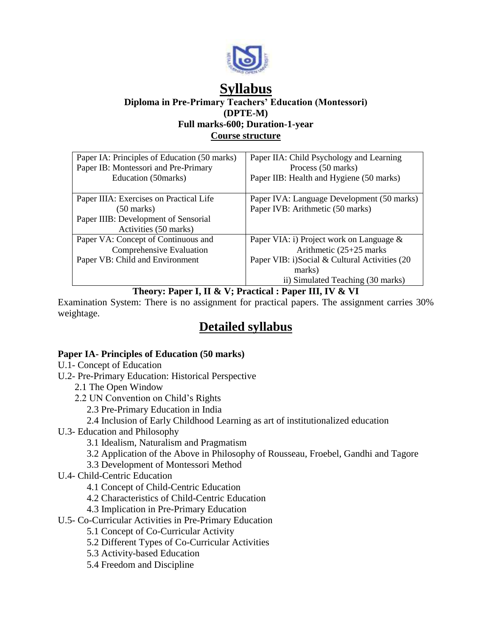

# **Syllabus**

**Diploma in Pre-Primary Teachers' Education (Montessori) (DPTE-M) Full marks-600; Duration-1-year**

**Course structure**

| Paper IA: Principles of Education (50 marks)<br>Paper IB: Montessori and Pre-Primary | Paper IIA: Child Psychology and Learning<br>Process (50 marks) |
|--------------------------------------------------------------------------------------|----------------------------------------------------------------|
| Education (50 marks)                                                                 | Paper IIB: Health and Hygiene (50 marks)                       |
| Paper IIIA: Exercises on Practical Life                                              | Paper IVA: Language Development (50 marks)                     |
| (50 marks)                                                                           | Paper IVB: Arithmetic (50 marks)                               |
| Paper IIIB: Development of Sensorial                                                 |                                                                |
| Activities (50 marks)                                                                |                                                                |
| Paper VA: Concept of Continuous and                                                  | Paper VIA: i) Project work on Language &                       |
| Comprehensive Evaluation                                                             | Arithmetic $(25+25)$ marks                                     |
| Paper VB: Child and Environment                                                      | Paper VIB: i)Social & Cultural Activities (20                  |
|                                                                                      | marks)                                                         |
|                                                                                      | ii) Simulated Teaching (30 marks)                              |

## **Theory: Paper I, II & V; Practical : Paper III, IV & VI**

Examination System: There is no assignment for practical papers. The assignment carries 30% weightage.

## **Detailed syllabus**

## **Paper IA- Principles of Education (50 marks)**

- U.1- Concept of Education
- U.2- Pre-Primary Education: Historical Perspective
	- 2.1 The Open Window
	- 2.2 UN Convention on Child's Rights
		- 2.3 Pre-Primary Education in India
		- 2.4 Inclusion of Early Childhood Learning as art of institutionalized education
- U.3- Education and Philosophy

3.1 Idealism, Naturalism and Pragmatism

- 3.2 Application of the Above in Philosophy of Rousseau, Froebel, Gandhi and Tagore
- 3.3 Development of Montessori Method
- U.4- Child-Centric Education
	- 4.1 Concept of Child-Centric Education
	- 4.2 Characteristics of Child-Centric Education
	- 4.3 Implication in Pre-Primary Education
- U.5- Co-Curricular Activities in Pre-Primary Education
	- 5.1 Concept of Co-Curricular Activity
	- 5.2 Different Types of Co-Curricular Activities
	- 5.3 Activity-based Education
	- 5.4 Freedom and Discipline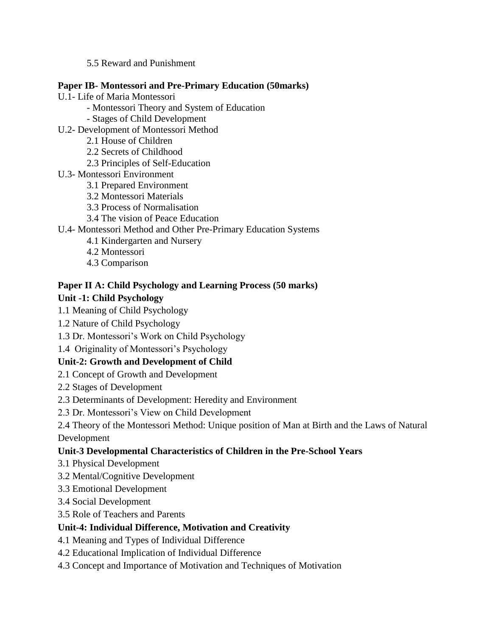5.5 Reward and Punishment

#### **Paper IB- Montessori and Pre-Primary Education (50marks)**

- U.1- Life of Maria Montessori
	- Montessori Theory and System of Education
	- Stages of Child Development
- U.2- Development of Montessori Method
	- 2.1 House of Children
	- 2.2 Secrets of Childhood
	- 2.3 Principles of Self-Education
- U.3- Montessori Environment
	- 3.1 Prepared Environment
	- 3.2 Montessori Materials
	- 3.3 Process of Normalisation
	- 3.4 The vision of Peace Education

## U.4- Montessori Method and Other Pre-Primary Education Systems

- 4.1 Kindergarten and Nursery
- 4.2 Montessori
- 4.3 Comparison

## **Paper II A: Child Psychology and Learning Process (50 marks)**

## **Unit -1: Child Psychology**

- 1.1 Meaning of Child Psychology
- 1.2 Nature of Child Psychology
- 1.3 Dr. Montessori's Work on Child Psychology
- 1.4 Originality of Montessori's Psychology

## **Unit-2: Growth and Development of Child**

- 2.1 Concept of Growth and Development
- 2.2 Stages of Development
- 2.3 Determinants of Development: Heredity and Environment
- 2.3 Dr. Montessori's View on Child Development
- 2.4 Theory of the Montessori Method: Unique position of Man at Birth and the Laws of Natural

Development

## **Unit-3 Developmental Characteristics of Children in the Pre-School Years**

- 3.1 Physical Development
- 3.2 Mental/Cognitive Development
- 3.3 Emotional Development
- 3.4 Social Development
- 3.5 Role of Teachers and Parents

## **Unit-4: Individual Difference, Motivation and Creativity**

- 4.1 Meaning and Types of Individual Difference
- 4.2 Educational Implication of Individual Difference
- 4.3 Concept and Importance of Motivation and Techniques of Motivation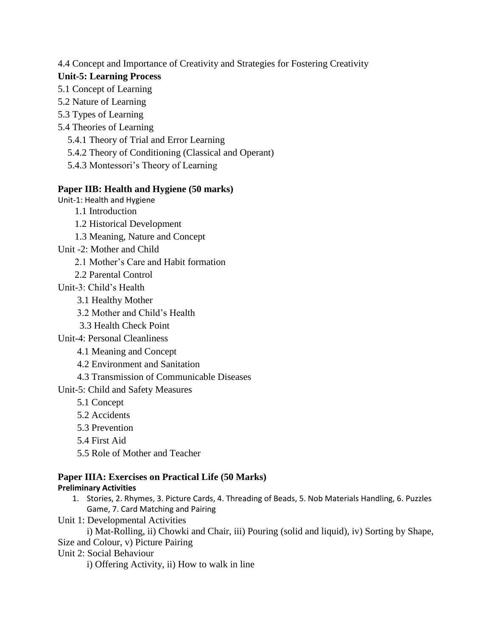#### 4.4 Concept and Importance of Creativity and Strategies for Fostering Creativity

#### **Unit-5: Learning Process**

- 5.1 Concept of Learning
- 5.2 Nature of Learning
- 5.3 Types of Learning
- 5.4 Theories of Learning
	- 5.4.1 Theory of Trial and Error Learning
	- 5.4.2 Theory of Conditioning (Classical and Operant)
	- 5.4.3 Montessori's Theory of Learning

## **Paper IIB: Health and Hygiene (50 marks)**

Unit-1: Health and Hygiene

- 1.1 Introduction
- 1.2 Historical Development
- 1.3 Meaning, Nature and Concept
- Unit -2: Mother and Child
	- 2.1 Mother's Care and Habit formation
	- 2.2 Parental Control
- Unit-3: Child's Health
	- 3.1 Healthy Mother
	- 3.2 Mother and Child's Health
	- 3.3 Health Check Point
- Unit-4: Personal Cleanliness
	- 4.1 Meaning and Concept
	- 4.2 Environment and Sanitation
	- 4.3 Transmission of Communicable Diseases

Unit-5: Child and Safety Measures

- 5.1 Concept
- 5.2 Accidents
- 5.3 Prevention
- 5.4 First Aid
- 5.5 Role of Mother and Teacher

## **Paper IIIA: Exercises on Practical Life (50 Marks)**

## **Preliminary Activities**

- 1. Stories, 2. Rhymes, 3. Picture Cards, 4. Threading of Beads, 5. Nob Materials Handling, 6. Puzzles Game, 7. Card Matching and Pairing
- Unit 1: Developmental Activities

i) Mat-Rolling, ii) Chowki and Chair, iii) Pouring (solid and liquid), iv) Sorting by Shape, Size and Colour, v) Picture Pairing

Unit 2: Social Behaviour

i) Offering Activity, ii) How to walk in line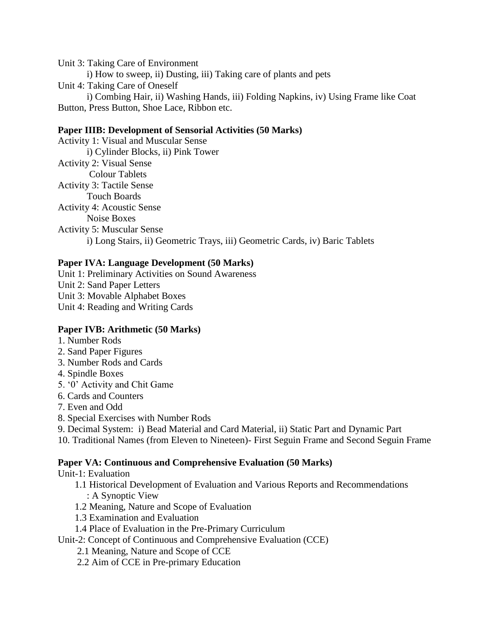Unit 3: Taking Care of Environment i) How to sweep, ii) Dusting, iii) Taking care of plants and pets Unit 4: Taking Care of Oneself i) Combing Hair, ii) Washing Hands, iii) Folding Napkins, iv) Using Frame like Coat

Button, Press Button, Shoe Lace, Ribbon etc.

#### **Paper IIIB: Development of Sensorial Activities (50 Marks)**

Activity 1: Visual and Muscular Sense i) Cylinder Blocks, ii) Pink Tower Activity 2: Visual Sense Colour Tablets Activity 3: Tactile Sense Touch Boards Activity 4: Acoustic Sense Noise Boxes Activity 5: Muscular Sense i) Long Stairs, ii) Geometric Trays, iii) Geometric Cards, iv) Baric Tablets

#### **Paper IVA: Language Development (50 Marks)**

Unit 1: Preliminary Activities on Sound Awareness Unit 2: Sand Paper Letters Unit 3: Movable Alphabet Boxes Unit 4: Reading and Writing Cards

#### **Paper IVB: Arithmetic (50 Marks)**

- 1. Number Rods
- 2. Sand Paper Figures
- 3. Number Rods and Cards
- 4. Spindle Boxes
- 5. '0' Activity and Chit Game
- 6. Cards and Counters
- 7. Even and Odd
- 8. Special Exercises with Number Rods
- 9. Decimal System: i) Bead Material and Card Material, ii) Static Part and Dynamic Part
- 10. Traditional Names (from Eleven to Nineteen)- First Seguin Frame and Second Seguin Frame

#### **Paper VA: Continuous and Comprehensive Evaluation (50 Marks)**

Unit-1: Evaluation

- 1.1 Historical Development of Evaluation and Various Reports and Recommendations : A Synoptic View
- 1.2 Meaning, Nature and Scope of Evaluation
- 1.3 Examination and Evaluation
- 1.4 Place of Evaluation in the Pre-Primary Curriculum
- Unit-2: Concept of Continuous and Comprehensive Evaluation (CCE)
	- 2.1 Meaning, Nature and Scope of CCE
	- 2.2 Aim of CCE in Pre-primary Education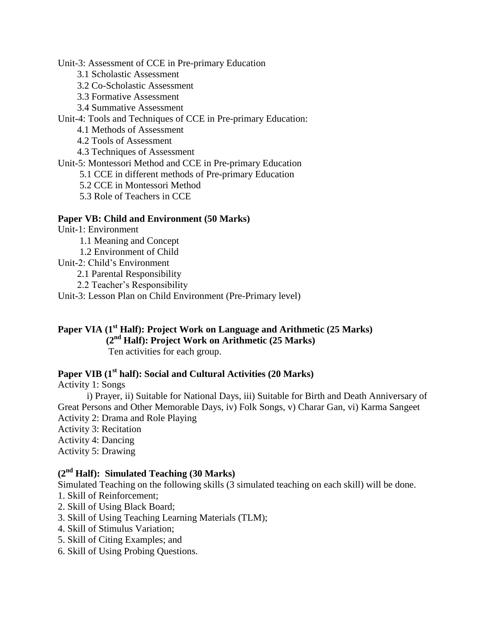Unit-3: Assessment of CCE in Pre-primary Education

- 3.1 Scholastic Assessment
- 3.2 Co-Scholastic Assessment
- 3.3 Formative Assessment
- 3.4 Summative Assessment

Unit-4: Tools and Techniques of CCE in Pre-primary Education:

- 4.1 Methods of Assessment
- 4.2 Tools of Assessment
- 4.3 Techniques of Assessment

Unit-5: Montessori Method and CCE in Pre-primary Education

- 5.1 CCE in different methods of Pre-primary Education
- 5.2 CCE in Montessori Method
- 5.3 Role of Teachers in CCE

#### **Paper VB: Child and Environment (50 Marks)**

- Unit-1: Environment
	- 1.1 Meaning and Concept
	- 1.2 Environment of Child
- Unit-2: Child's Environment
	- 2.1 Parental Responsibility
	- 2.2 Teacher's Responsibility
- Unit-3: Lesson Plan on Child Environment (Pre-Primary level)

## **Paper VIA (1st Half): Project Work on Language and Arithmetic (25 Marks) (2nd Half): Project Work on Arithmetic (25 Marks)**

Ten activities for each group.

#### **Paper VIB (1st half): Social and Cultural Activities (20 Marks)**

Activity 1: Songs

i) Prayer, ii) Suitable for National Days, iii) Suitable for Birth and Death Anniversary of Great Persons and Other Memorable Days, iv) Folk Songs, v) Charar Gan, vi) Karma Sangeet Activity 2: Drama and Role Playing

- Activity 3: Recitation
- Activity 4: Dancing
- Activity 5: Drawing

## **(2nd Half): Simulated Teaching (30 Marks)**

Simulated Teaching on the following skills (3 simulated teaching on each skill) will be done.

- 1. Skill of Reinforcement;
- 2. Skill of Using Black Board;
- 3. Skill of Using Teaching Learning Materials (TLM);
- 4. Skill of Stimulus Variation;
- 5. Skill of Citing Examples; and
- 6. Skill of Using Probing Questions.